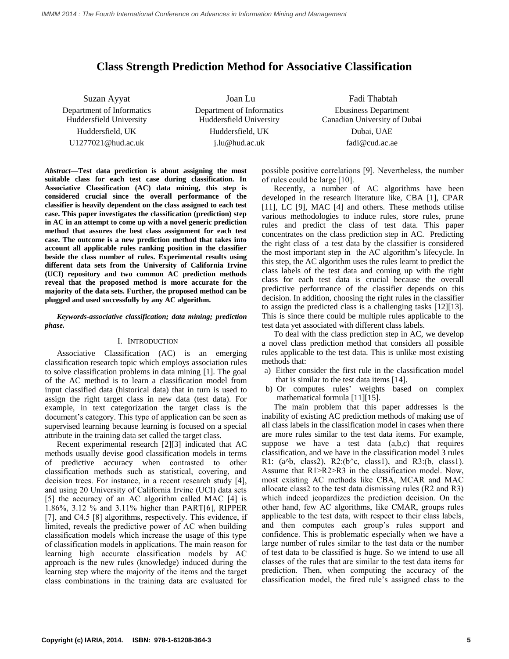# **Class Strength Prediction Method for Associative Classification**

Department of Informatics Huddersfield University

Suzan Ayyat Joan Lu Fadi Thabtah Department of Informatics Huddersfield University Huddersfield, UK Huddersfield, UK Dubai, UAE U1277021@hud.ac.uk j.lu@hud.ac.uk fadi@cud.ac.ae

Ebusiness Department Canadian University of Dubai

*Abstract***—Test data prediction is about assigning the most suitable class for each test case during classification. In Associative Classification (AC) data mining, this step is considered crucial since the overall performance of the classifier is heavily dependent on the class assigned to each test case. This paper investigates the classification (prediction) step in AC in an attempt to come up with a novel generic prediction method that assures the best class assignment for each test case. The outcome is a new prediction method that takes into account all applicable rules ranking position in the classifier beside the class number of rules. Experimental results using different data sets from the University of California Irvine (UCI) repository and two common AC prediction methods reveal that the proposed method is more accurate for the majority of the data sets. Further, the proposed method can be plugged and used successfully by any AC algorithm.**

*Keywords-associative classification; data mining; prediction phase.*

# I. INTRODUCTION

Associative Classification (AC) is an emerging classification research topic which employs association rules to solve classification problems in data mining [1]. The goal of the AC method is to learn a classification model from input classified data (historical data) that in turn is used to assign the right target class in new data (test data). For example, in text categorization the target class is the document's category. This type of application can be seen as supervised learning because learning is focused on a special attribute in the training data set called the target class.

Recent experimental research [2][3] indicated that AC methods usually devise good classification models in terms of predictive accuracy when contrasted to other classification methods such as statistical, covering, and decision trees. For instance, in a recent research study [4], and using 20 University of California Irvine (UCI) data sets [5] the accuracy of an AC algorithm called MAC [4] is 1.86%, 3.12 % and 3.11% higher than PART[6], RIPPER [7], and C4.5 [8] algorithms, respectively. This evidence, if limited, reveals the predictive power of AC when building classification models which increase the usage of this type of classification models in applications. The main reason for learning high accurate classification models by AC approach is the new rules (knowledge) induced during the learning step where the majority of the items and the target class combinations in the training data are evaluated for

possible positive correlations [9]. Nevertheless, the number of rules could be large [10].

Recently, a number of AC algorithms have been developed in the research literature like, CBA [1], CPAR [11], LC [9], MAC [4] and others. These methods utilise various methodologies to induce rules, store rules, prune rules and predict the class of test data. This paper concentrates on the class prediction step in AC. Predicting the right class of a test data by the classifier is considered the most important step in the AC algorithm's lifecycle. In this step, the AC algorithm uses the rules learnt to predict the class labels of the test data and coming up with the right class for each test data is crucial because the overall predictive performance of the classifier depends on this decision. In addition, choosing the right rules in the classifier to assign the predicted class is a challenging tasks [12][13]. This is since there could be multiple rules applicable to the test data yet associated with different class labels.

To deal with the class prediction step in AC, we develop a novel class prediction method that considers all possible rules applicable to the test data. This is unlike most existing methods that:

- a) Either consider the first rule in the classification model that is similar to the test data items [14].
- b) Or computes rules' weights based on complex mathematical formula [11][15].

The main problem that this paper addresses is the inability of existing AC prediction methods of making use of all class labels in the classification model in cases when there are more rules similar to the test data items. For example, suppose we have a test data  $(a,b,c)$  that requires classification, and we have in the classification model 3 rules R1:  $(a^b, class2), R2:(b^c, class1), and R3:(b, class1).$ Assume that R1>R2>R3 in the classification model. Now, most existing AC methods like CBA, MCAR and MAC allocate class2 to the test data dismissing rules (R2 and R3) which indeed jeopardizes the prediction decision. On the other hand, few AC algorithms, like CMAR, groups rules applicable to the test data, with respect to their class labels, and then computes each group's rules support and confidence. This is problematic especially when we have a large number of rules similar to the test data or the number of test data to be classified is huge. So we intend to use all classes of the rules that are similar to the test data items for prediction. Then, when computing the accuracy of the classification model, the fired rule's assigned class to the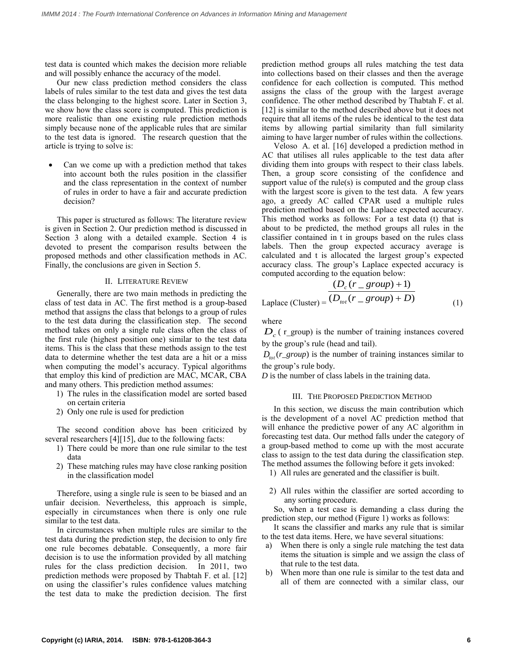test data is counted which makes the decision more reliable and will possibly enhance the accuracy of the model.

Our new class prediction method considers the class labels of rules similar to the test data and gives the test data the class belonging to the highest score. Later in Section 3, we show how the class score is computed. This prediction is more realistic than one existing rule prediction methods simply because none of the applicable rules that are similar to the test data is ignored. The research question that the article is trying to solve is:

 Can we come up with a prediction method that takes into account both the rules position in the classifier and the class representation in the context of number of rules in order to have a fair and accurate prediction decision?

This paper is structured as follows: The literature review is given in Section 2. Our prediction method is discussed in Section 3 along with a detailed example. Section 4 is devoted to present the comparison results between the proposed methods and other classification methods in AC. Finally, the conclusions are given in Section 5.

## II. LITERATURE REVIEW

Generally, there are two main methods in predicting the class of test data in AC. The first method is a group-based method that assigns the class that belongs to a group of rules to the test data during the classification step. The second method takes on only a single rule class often the class of the first rule (highest position one) similar to the test data items. This is the class that these methods assign to the test data to determine whether the test data are a hit or a miss when computing the model's accuracy. Typical algorithms that employ this kind of prediction are MAC, MCAR, CBA and many others. This prediction method assumes:

- 1) The rules in the classification model are sorted based on certain criteria
- 2) Only one rule is used for prediction

The second condition above has been criticized by several researchers [4][15], due to the following facts:

- 1) There could be more than one rule similar to the test data
- 2) These matching rules may have close ranking position in the classification model

Therefore, using a single rule is seen to be biased and an unfair decision. Nevertheless, this approach is simple, especially in circumstances when there is only one rule similar to the test data.

In circumstances when multiple rules are similar to the test data during the prediction step, the decision to only fire one rule becomes debatable. Consequently, a more fair decision is to use the information provided by all matching rules for the class prediction decision. In 2011, two prediction methods were proposed by Thabtah F. et al. [12] on using the classifier's rules confidence values matching the test data to make the prediction decision. The first prediction method groups all rules matching the test data into collections based on their classes and then the average confidence for each collection is computed. This method assigns the class of the group with the largest average confidence. The other method described by Thabtah F. et al. [12] is similar to the method described above but it does not require that all items of the rules be identical to the test data items by allowing partial similarity than full similarity aiming to have larger number of rules within the collections.

Veloso A. et al. [16] developed a prediction method in AC that utilises all rules applicable to the test data after dividing them into groups with respect to their class labels. Then, a group score consisting of the confidence and support value of the rule(s) is computed and the group class with the largest score is given to the test data. A few years ago, a greedy AC called CPAR used a multiple rules prediction method based on the Laplace expected accuracy. This method works as follows: For a test data (t) that is about to be predicted, the method groups all rules in the classifier contained in t in groups based on the rules class labels. Then the group expected accuracy average is calculated and t is allocated the largest group's expected accuracy class. The group's Laplace expected accuracy is computed according to the equation below:

$$
\frac{(D_c (r\_group) + 1)}{ (D_{tot} (r\_group) + D)}
$$
  
Laplace (Cluster) = 
$$
\frac{(D_c (r\_group) + D)}{(1 - P_{tot} (r\_group) + D)}
$$
 (1)

where

 $D_c$  ( $r$ <sub>group</sub>) is the number of training instances covered by the group's rule (head and tail).

 $D_{tot}(r\_group)$  is the number of training instances similar to the group's rule body.

*D* is the number of class labels in the training data.

## III. THE PROPOSED PREDICTION METHOD

In this section, we discuss the main contribution which is the development of a novel AC prediction method that will enhance the predictive power of any AC algorithm in forecasting test data. Our method falls under the category of a group-based method to come up with the most accurate class to assign to the test data during the classification step. The method assumes the following before it gets invoked:

- 1) All rules are generated and the classifier is built.
- 2) All rules within the classifier are sorted according to any sorting procedure.

So, when a test case is demanding a class during the prediction step, our method (Figure 1) works as follows:

It scans the classifier and marks any rule that is similar to the test data items. Here, we have several situations:

- a) When there is only a single rule matching the test data items the situation is simple and we assign the class of that rule to the test data.
- b) When more than one rule is similar to the test data and all of them are connected with a similar class, our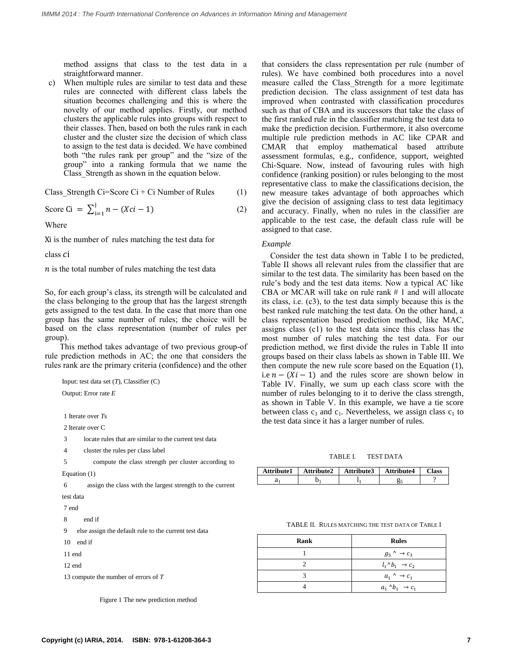method assigns that class to the test data in a straightforward manner.

c) When multiple rules are similar to test data and these rules are connected with different class labels the situation becomes challenging and this is where the novelty of our method applies. Firstly, our method clusters the applicable rules into groups with respect to their classes. Then, based on both the rules rank in each cluster and the cluster size the decision of which class to assign to the test data is decided. We have combined both "the rules rank per group" and the "size of the group" into a ranking formula that we name the Class\_Strength as shown in the equation below.

Class Strength Ci=Score Ci + Ci Number of Rules  $(1)$ 

Score Ci = 
$$
\sum_{i=1}^{j} n - (Xci - 1)
$$
 (2)

Where

Xi is the number of rules matching the test data for

class *c*i

 $n$  is the total number of rules matching the test data

So, for each group's class, its strength will be calculated and the class belonging to the group that has the largest strength gets assigned to the test data. In the case that more than one group has the same number of rules; the choice will be based on the class representation (number of rules per group).

This method takes advantage of two previous group-of rule prediction methods in AC; the one that considers the rules rank are the primary criteria (confidence) and the other

```
Input: test data set (T), Classifier (C)
```
Output: Error rate *E*

1 Iterate over *T*s

2 Iterate over C

- 3 locate rules that are similar to the current test data
- 4 cluster the rules per class label
- 5 compute the class strength per cluster according to

Equation (1)

6 assign the class with the largest strength to the current test data

7 end

8 end if

9 else assign the default rule to the current test data

10 end if

11 end

12 end

```
13 compute the number of errors of T
```

```
Figure 1 The new prediction method
```
that considers the class representation per rule (number of rules). We have combined both procedures into a novel measure called the Class\_Strength for a more legitimate prediction decision. The class assignment of test data has improved when contrasted with classification procedures such as that of CBA and its successors that take the class of the first ranked rule in the classifier matching the test data to make the prediction decision. Furthermore, it also overcome multiple rule prediction methods in AC like CPAR and CMAR that employ mathematical based attribute assessment formulas, e.g., confidence, support, weighted Chi-Square. Now, instead of favouring rules with high confidence (ranking position) or rules belonging to the most representative class to make the classifications decision, the new measure takes advantage of both approaches which give the decision of assigning class to test data legitimacy and accuracy. Finally, when no rules in the classifier are applicable to the test case, the default class rule will be assigned to that case.

#### *Example*

 Consider the test data shown in Table I to be predicted, Table II shows all relevant rules from the classifier that are similar to the test data. The similarity has been based on the rule's body and the test data items. Now a typical AC like CBA or MCAR will take on rule rank # 1 and will allocate its class, i.e. (c3), to the test data simply because this is the best ranked rule matching the test data. On the other hand, a class representation based prediction method, like MAC, assigns class (c1) to the test data since this class has the most number of rules matching the test data. For our prediction method, we first divide the rules in Table II into groups based on their class labels as shown in Table III. We then compute the new rule score based on the Equation (1), i.e  $n - (Xi - 1)$  and the rules score are shown below in Table IV. Finally, we sum up each class score with the number of rules belonging to it to derive the class strength, as shown in Table V. In this example, we have a tie score between class  $c_3$  and  $c_1$ . Nevertheless, we assign class  $c_1$  to the test data since it has a larger number of rules.

TABLE I. TEST DATA

| Attribute1 | Attribute2   Attribute3 | Attribute4 | $\gamma$ lass |
|------------|-------------------------|------------|---------------|
|            |                         |            |               |

TABLE II. RULES MATCHING THE TEST DATA OF TABLE I

| Rank | <b>Rules</b>                     |
|------|----------------------------------|
|      | $g_5 \wedge \rightarrow c_3$     |
|      | $l_1 \Delta b_1 \rightarrow c_2$ |
|      | $a_1 \wedge \rightarrow c_1$     |
|      | $a_1 \wedge b_1 \rightarrow c_1$ |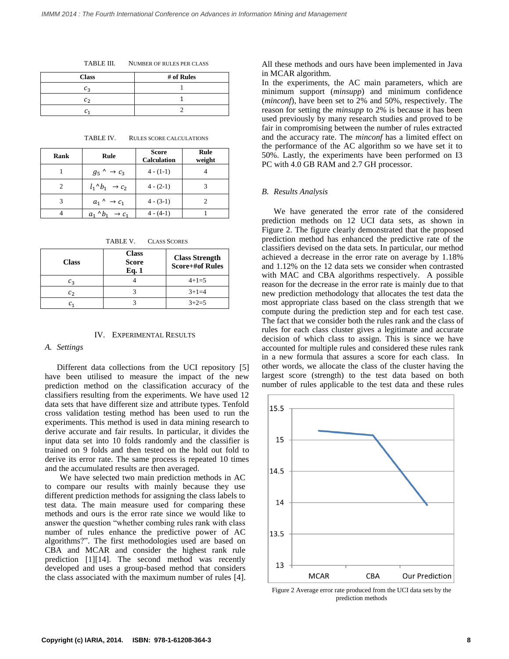TABLE III. NUMBER OF RULES PER CLASS

| <b>Class</b> | # of Rules |
|--------------|------------|
| Cэ           |            |
| C-           |            |
|              |            |

TABLE IV. RULES SCORE CALCULATIONS

| Rank | Rule                             | <b>Score</b><br><b>Calculation</b> | Rule<br>weight |
|------|----------------------------------|------------------------------------|----------------|
|      | $g_5$ $\rightarrow$ $c_3$        | $4 - (1-1)$                        |                |
|      | $l_1 \wedge b_1 \rightarrow c_2$ | $4 - (2-1)$                        |                |
|      | $a_1 \wedge \rightarrow c_1$     | $4 - (3-1)$                        |                |
|      | $a_{1}$<br>$\rightarrow c_{4}$   | $4 - (4-1)$                        |                |

TABLE V. CLASS SCORES

| <b>Class</b>   | <b>Class</b><br><b>Score</b><br>Eq. 1 | <b>Class Strength</b><br><b>Score+#of Rules</b> |
|----------------|---------------------------------------|-------------------------------------------------|
| $c_3$          |                                       | $4+1=5$                                         |
| c <sub>2</sub> |                                       | $3+1=4$                                         |
| C1             |                                       | $3+2=5$                                         |

## IV. EXPERIMENTAL RESULTS

## *A. Settings*

Different data collections from the UCI repository [5] have been utilised to measure the impact of the new prediction method on the classification accuracy of the classifiers resulting from the experiments. We have used 12 data sets that have different size and attribute types. Tenfold cross validation testing method has been used to run the experiments. This method is used in data mining research to derive accurate and fair results. In particular, it divides the input data set into 10 folds randomly and the classifier is trained on 9 folds and then tested on the hold out fold to derive its error rate. The same process is repeated 10 times and the accumulated results are then averaged.

We have selected two main prediction methods in AC to compare our results with mainly because they use different prediction methods for assigning the class labels to test data. The main measure used for comparing these methods and ours is the error rate since we would like to answer the question "whether combing rules rank with class number of rules enhance the predictive power of AC algorithms?". The first methodologies used are based on CBA and MCAR and consider the highest rank rule prediction [1][14]. The second method was recently developed and uses a group-based method that considers the class associated with the maximum number of rules [4].

All these methods and ours have been implemented in Java in MCAR algorithm.

In the experiments, the AC main parameters, which are minimum support (*minsupp*) and minimum confidence (*minconf*), have been set to 2% and 50%, respectively. The reason for setting the *minsupp* to 2% is because it has been used previously by many research studies and proved to be fair in compromising between the number of rules extracted and the accuracy rate. The *minconf* has a limited effect on the performance of the AC algorithm so we have set it to 50%. Lastly, the experiments have been performed on I3 PC with 4.0 GB RAM and 2.7 GH processor.

## *B. Results Analysis*

We have generated the error rate of the considered prediction methods on 12 UCI data sets, as shown in Figure 2. The figure clearly demonstrated that the proposed prediction method has enhanced the predictive rate of the classifiers devised on the data sets. In particular, our method achieved a decrease in the error rate on average by 1.18% and 1.12% on the 12 data sets we consider when contrasted with MAC and CBA algorithms respectively. A possible reason for the decrease in the error rate is mainly due to that new prediction methodology that allocates the test data the most appropriate class based on the class strength that we compute during the prediction step and for each test case. The fact that we consider both the rules rank and the class of rules for each class cluster gives a legitimate and accurate decision of which class to assign. This is since we have accounted for multiple rules and considered these rules rank in a new formula that assures a score for each class. In other words, we allocate the class of the cluster having the largest score (strength) to the test data based on both number of rules applicable to the test data and these rules



Figure 2 Average error rate produced from the UCI data sets by the prediction methods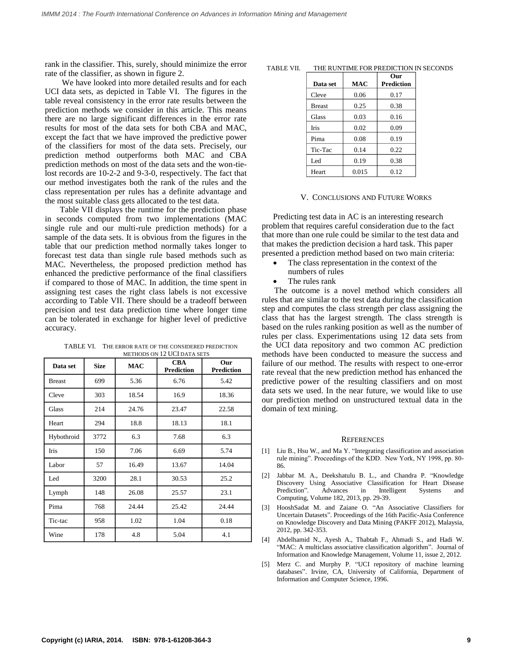rank in the classifier. This, surely, should minimize the error rate of the classifier, as shown in figure 2.

We have looked into more detailed results and for each UCI data sets, as depicted in Table VI. The figures in the table reveal consistency in the error rate results between the prediction methods we consider in this article. This means there are no large significant differences in the error rate results for most of the data sets for both CBA and MAC, except the fact that we have improved the predictive power of the classifiers for most of the data sets. Precisely, our prediction method outperforms both MAC and CBA prediction methods on most of the data sets and the won-tielost records are 10-2-2 and 9-3-0, respectively. The fact that our method investigates both the rank of the rules and the class representation per rules has a definite advantage and the most suitable class gets allocated to the test data.

Table VII displays the runtime for the prediction phase in seconds computed from two implementations (MAC single rule and our multi-rule prediction methods) for a sample of the data sets. It is obvious from the figures in the table that our prediction method normally takes longer to forecast test data than single rule based methods such as MAC. Nevertheless, the proposed prediction method has enhanced the predictive performance of the final classifiers if compared to those of MAC. In addition, the time spent in assigning test cases the right class labels is not excessive according to Table VII. There should be a tradeoff between precision and test data prediction time where longer time can be tolerated in exchange for higher level of predictive accuracy.

TABLE VI. THE ERROR RATE OF THE CONSIDERED PREDICTION METHODS ON 12 UCI DATA SETS

| Data set      | <b>Size</b> | <b>MAC</b> | <b>CBA</b><br><b>Prediction</b> | Our<br><b>Prediction</b> |
|---------------|-------------|------------|---------------------------------|--------------------------|
| <b>Breast</b> | 699         | 5.36       | 6.76                            | 5.42                     |
| Cleve         | 303         | 18.54      | 16.9                            | 18.36                    |
| Glass         | 214         | 24.76      | 23.47                           | 22.58                    |
| Heart         | 294         | 18.8       | 18.13                           | 18.1                     |
| Hybothroid    | 3772        | 6.3        | 7.68                            | 6.3                      |
| Iris          | 150         | 7.06       | 6.69                            | 5.74                     |
| Labor         | 57          | 16.49      | 13.67                           | 14.04                    |
| Led           | 3200        | 28.1       | 30.53                           | 25.2                     |
| Lymph         | 148         | 26.08      | 25.57                           | 23.1                     |
| Pima          | 768         | 24.44      | 25.42                           | 24.44                    |
| Tic-tac       | 958         | 1.02       | 1.04                            | 0.18                     |
| Wine          | 178         | 4.8        | 5.04                            | 4.1                      |

| THE RUNTIME FOR PREDICTION IN SECONDS<br>TABLE VII. |
|-----------------------------------------------------|
|-----------------------------------------------------|

| Data set      | MAC   | Our<br><b>Prediction</b> |
|---------------|-------|--------------------------|
| Cleve         | 0.06  | 0.17                     |
| <b>Breast</b> | 0.25  | 0.38                     |
| Glass         | 0.03  | 0.16                     |
| Iris          | 0.02  | 0.09                     |
| Pima          | 0.08  | 0.19                     |
| Tic-Tac       | 0.14  | 0.22                     |
| Led           | 0.19  | 0.38                     |
| Heart         | 0.015 | 0.12                     |

## V. CONCLUSIONS AND FUTURE WORKS

Predicting test data in AC is an interesting research problem that requires careful consideration due to the fact that more than one rule could be similar to the test data and that makes the prediction decision a hard task. This paper presented a prediction method based on two main criteria:

- The class representation in the context of the numbers of rules
- The rules rank

 The outcome is a novel method which considers all rules that are similar to the test data during the classification step and computes the class strength per class assigning the class that has the largest strength. The class strength is based on the rules ranking position as well as the number of rules per class. Experimentations using 12 data sets from the UCI data repository and two common AC prediction methods have been conducted to measure the success and failure of our method. The results with respect to one-error rate reveal that the new prediction method has enhanced the predictive power of the resulting classifiers and on most data sets we used. In the near future, we would like to use our prediction method on unstructured textual data in the domain of text mining.

#### **REFERENCES**

- [1] Liu B., Hsu W., and Ma Y. "Integrating classification and association rule mining". Proceedings of the KDD. New York, NY 1998, pp. 80- 86.
- [2] Jabbar M. A., Deekshatulu B. L., and Chandra P. "Knowledge Discovery Using Associative Classification for Heart Disease Prediction". Advances in Intelligent Systems and Computing, Volume 182, 2013, pp. 29-39.
- [3] HooshSadat M. and Zaiane O. "An Associative Classifiers for Uncertain Datasets". Proceedings of the 16th Pacific-Asia Conference on Knowledge Discovery and Data Mining (PAKFF 2012), Malaysia, 2012, pp. 342-353.
- [4] Abdelhamid N., Ayesh A., Thabtah F., Ahmadi S., and Hadi W. "MAC: A multiclass associative classification algorithm". Journal of Information and Knowledge Management, Volume 11, issue 2, 2012.
- [5] Merz C. and Murphy P. "UCI repository of machine learning databases". Irvine, CA, University of California, Department of Information and Computer Science, 1996.